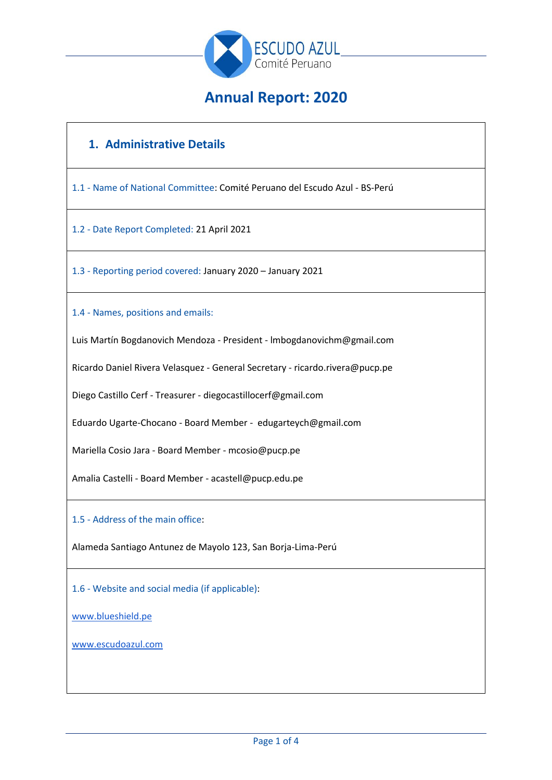

# **Annual Report: 2020**

# **1. Administrative Details**

1.1 - Name of National Committee: Comité Peruano del Escudo Azul - BS-Perú

1.2 - Date Report Completed: 21 April 2021

1.3 - Reporting period covered: January 2020 – January 2021

1.4 - Names, positions and emails:

Luis Martín Bogdanovich Mendoza - President - lmbogdanovichm@gmail.com

Ricardo Daniel Rivera Velasquez - General Secretary - ricardo.rivera@pucp.pe

Diego Castillo Cerf - Treasurer - diegocastillocerf@gmail.com

Eduardo Ugarte-Chocano - Board Member - edugarteych@gmail.com

Mariella Cosio Jara - Board Member - mcosio@pucp.pe

Amalia Castelli - Board Member - acastell@pucp.edu.pe

1.5 - Address of the main office:

Alameda Santiago Antunez de Mayolo 123, San Borja-Lima-Perú

1.6 - Website and social media (if applicable):

[www.blueshield.pe](http://www.blueshield.pe/)

[www.escudoazul.com](http://www.escudoazul.com/)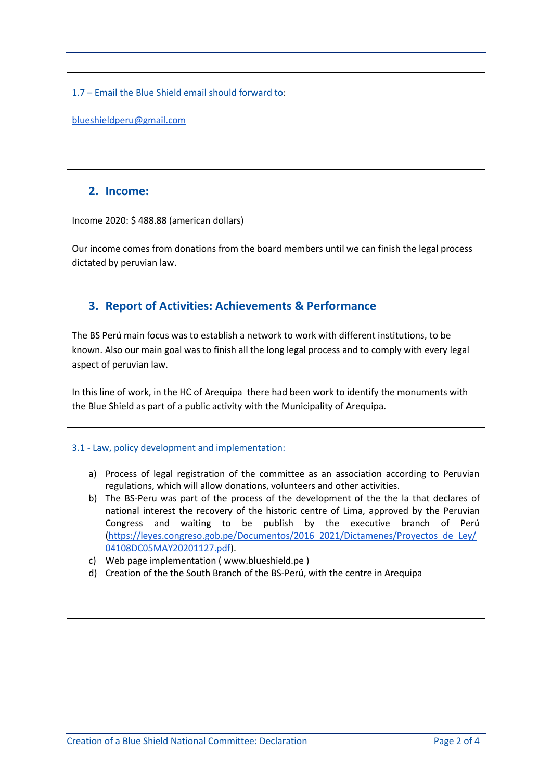1.7 – Email the Blue Shield email should forward to:

[blueshieldperu@gmail.com](mailto:blueshieldperu@gmail.com)

### **2. Income:**

Income 2020: \$ 488.88 (american dollars)

Our income comes from donations from the board members until we can finish the legal process dictated by peruvian law.

# **3. Report of Activities: Achievements & Performance**

The BS Perú main focus was to establish a network to work with different institutions, to be known. Also our main goal was to finish all the long legal process and to comply with every legal aspect of peruvian law.

In this line of work, in the HC of Arequipa there had been work to identify the monuments with the Blue Shield as part of a public activity with the Municipality of Arequipa.

### 3.1 - Law, policy development and implementation:

- a) Process of legal registration of the committee as an association according to Peruvian regulations, which will allow donations, volunteers and other activities.
- b) The BS-Peru was part of the process of the development of the the la that declares of national interest the recovery of the historic centre of Lima, approved by the Peruvian Congress and waiting to be publish by the executive branch of Perú [\(https://leyes.congreso.gob.pe/Documentos/2016\\_2021/Dictamenes/Proyectos\\_de\\_Ley/](https://leyes.congreso.gob.pe/Documentos/2016_2021/Dictamenes/Proyectos_de_Ley/04108DC05MAY20201127.pdf) [04108DC05MAY20201127.pdf\)](https://leyes.congreso.gob.pe/Documentos/2016_2021/Dictamenes/Proyectos_de_Ley/04108DC05MAY20201127.pdf).
- c) Web page implementation ( www.blueshield.pe )
- d) Creation of the the South Branch of the BS-Perú, with the centre in Arequipa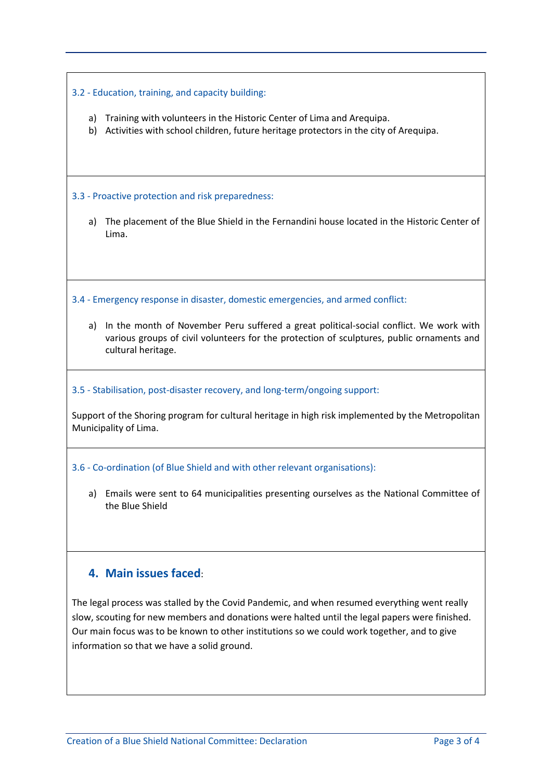### 3.2 - Education, training, and capacity building:

- a) Training with volunteers in the Historic Center of Lima and Arequipa.
- b) Activities with school children, future heritage protectors in the city of Arequipa.

#### 3.3 - Proactive protection and risk preparedness:

a) The placement of the Blue Shield in the Fernandini house located in the Historic Center of Lima.

3.4 - Emergency response in disaster, domestic emergencies, and armed conflict:

a) In the month of November Peru suffered a great political-social conflict. We work with various groups of civil volunteers for the protection of sculptures, public ornaments and cultural heritage.

#### 3.5 - Stabilisation, post-disaster recovery, and long-term/ongoing support:

Support of the Shoring program for cultural heritage in high risk implemented by the Metropolitan Municipality of Lima.

#### 3.6 - Co-ordination (of Blue Shield and with other relevant organisations):

a) Emails were sent to 64 municipalities presenting ourselves as the National Committee of the Blue Shield

### **4. Main issues faced**:

The legal process was stalled by the Covid Pandemic, and when resumed everything went really slow, scouting for new members and donations were halted until the legal papers were finished. Our main focus was to be known to other institutions so we could work together, and to give information so that we have a solid ground.